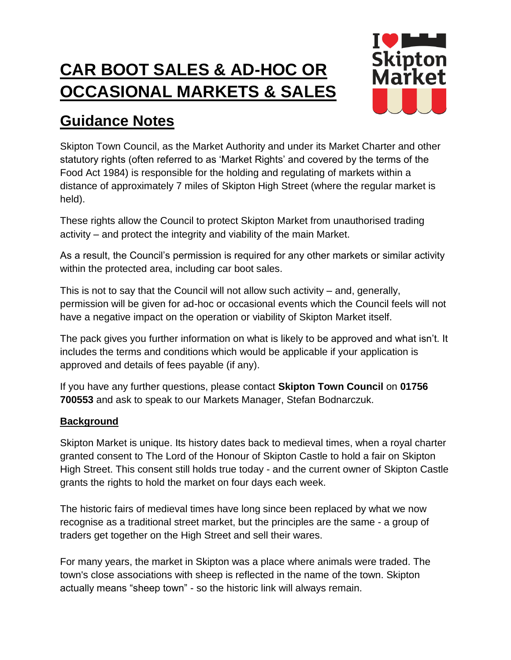# **CAR BOOT SALES & AD-HOC OR OCCASIONAL MARKETS & SALES**



# **Guidance Notes**

Skipton Town Council, as the Market Authority and under its Market Charter and other statutory rights (often referred to as 'Market Rights' and covered by the terms of the Food Act 1984) is responsible for the holding and regulating of markets within a distance of approximately 7 miles of Skipton High Street (where the regular market is held).

These rights allow the Council to protect Skipton Market from unauthorised trading activity – and protect the integrity and viability of the main Market.

As a result, the Council's permission is required for any other markets or similar activity within the protected area, including car boot sales.

This is not to say that the Council will not allow such activity – and, generally, permission will be given for ad-hoc or occasional events which the Council feels will not have a negative impact on the operation or viability of Skipton Market itself.

The pack gives you further information on what is likely to be approved and what isn't. It includes the terms and conditions which would be applicable if your application is approved and details of fees payable (if any).

If you have any further questions, please contact **Skipton Town Council** on **01756 700553** and ask to speak to our Markets Manager, Stefan Bodnarczuk.

# **Background**

Skipton Market is unique. Its history dates back to medieval times, when a royal charter granted consent to The Lord of the Honour of Skipton Castle to hold a fair on Skipton High Street. This consent still holds true today - and the current owner of Skipton Castle grants the rights to hold the market on four days each week.

The historic fairs of medieval times have long since been replaced by what we now recognise as a traditional street market, but the principles are the same - a group of traders get together on the High Street and sell their wares.

For many years, the market in Skipton was a place where animals were traded. The town's close associations with sheep is reflected in the name of the town. Skipton actually means "sheep town" - so the historic link will always remain.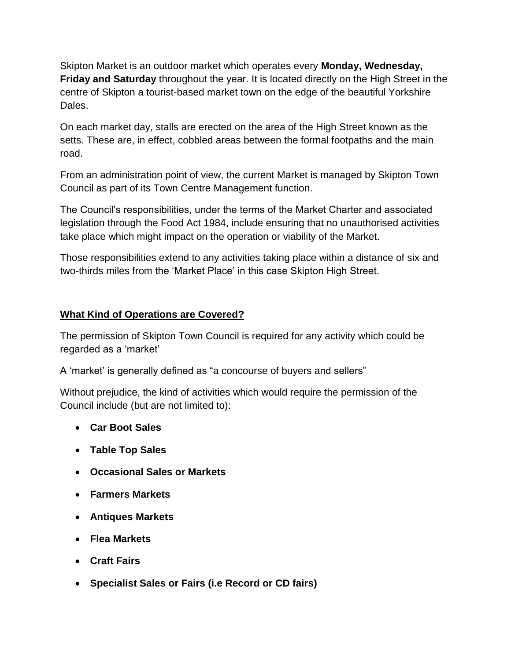Skipton Market is an outdoor market which operates every **Monday, Wednesday, Friday and Saturday** throughout the year. It is located directly on the High Street in the centre of Skipton a tourist-based market town on the edge of the beautiful Yorkshire Dales.

On each market day, stalls are erected on the area of the High Street known as the setts. These are, in effect, cobbled areas between the formal footpaths and the main road.

From an administration point of view, the current Market is managed by Skipton Town Council as part of its Town Centre Management function.

The Council's responsibilities, under the terms of the Market Charter and associated legislation through the Food Act 1984, include ensuring that no unauthorised activities take place which might impact on the operation or viability of the Market.

Those responsibilities extend to any activities taking place within a distance of six and two-thirds miles from the 'Market Place' in this case Skipton High Street.

# **What Kind of Operations are Covered?**

The permission of Skipton Town Council is required for any activity which could be regarded as a 'market'

A 'market' is generally defined as "a concourse of buyers and sellers"

Without prejudice, the kind of activities which would require the permission of the Council include (but are not limited to):

- **Car Boot Sales**
- **Table Top Sales**
- **Occasional Sales or Markets**
- **Farmers Markets**
- **Antiques Markets**
- **Flea Markets**
- **Craft Fairs**
- **Specialist Sales or Fairs (i.e Record or CD fairs)**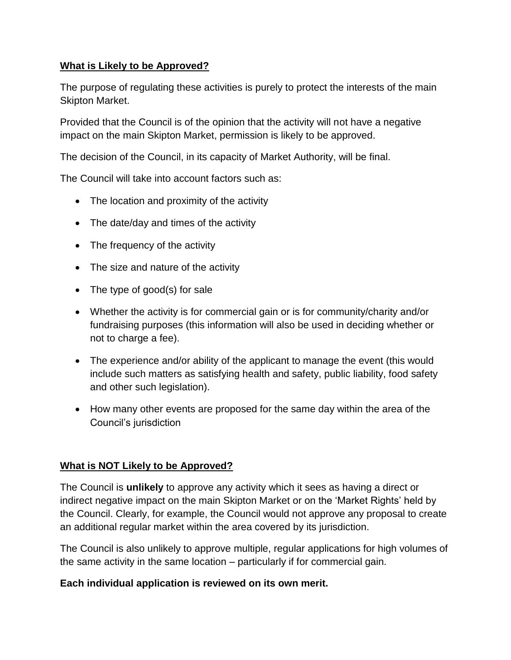# **What is Likely to be Approved?**

The purpose of regulating these activities is purely to protect the interests of the main Skipton Market.

Provided that the Council is of the opinion that the activity will not have a negative impact on the main Skipton Market, permission is likely to be approved.

The decision of the Council, in its capacity of Market Authority, will be final.

The Council will take into account factors such as:

- The location and proximity of the activity
- The date/day and times of the activity
- The frequency of the activity
- The size and nature of the activity
- The type of good(s) for sale
- Whether the activity is for commercial gain or is for community/charity and/or fundraising purposes (this information will also be used in deciding whether or not to charge a fee).
- The experience and/or ability of the applicant to manage the event (this would include such matters as satisfying health and safety, public liability, food safety and other such legislation).
- How many other events are proposed for the same day within the area of the Council's jurisdiction

## **What is NOT Likely to be Approved?**

The Council is **unlikely** to approve any activity which it sees as having a direct or indirect negative impact on the main Skipton Market or on the 'Market Rights' held by the Council. Clearly, for example, the Council would not approve any proposal to create an additional regular market within the area covered by its jurisdiction.

The Council is also unlikely to approve multiple, regular applications for high volumes of the same activity in the same location – particularly if for commercial gain.

## **Each individual application is reviewed on its own merit.**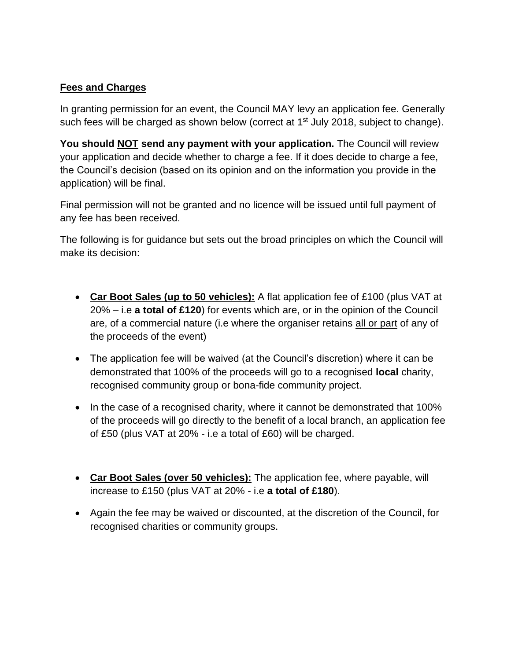## **Fees and Charges**

In granting permission for an event, the Council MAY levy an application fee. Generally such fees will be charged as shown below (correct at  $1<sup>st</sup>$  July 2018, subject to change).

**You should NOT send any payment with your application.** The Council will review your application and decide whether to charge a fee. If it does decide to charge a fee, the Council's decision (based on its opinion and on the information you provide in the application) will be final.

Final permission will not be granted and no licence will be issued until full payment of any fee has been received.

The following is for guidance but sets out the broad principles on which the Council will make its decision:

- **Car Boot Sales (up to 50 vehicles):** A flat application fee of £100 (plus VAT at 20% – i.e **a total of £120**) for events which are, or in the opinion of the Council are, of a commercial nature (i.e where the organiser retains all or part of any of the proceeds of the event)
- The application fee will be waived (at the Council's discretion) where it can be demonstrated that 100% of the proceeds will go to a recognised **local** charity, recognised community group or bona-fide community project.
- In the case of a recognised charity, where it cannot be demonstrated that 100% of the proceeds will go directly to the benefit of a local branch, an application fee of £50 (plus VAT at 20% - i.e a total of £60) will be charged.
- **Car Boot Sales (over 50 vehicles):** The application fee, where payable, will increase to £150 (plus VAT at 20% - i.e **a total of £180**).
- Again the fee may be waived or discounted, at the discretion of the Council, for recognised charities or community groups.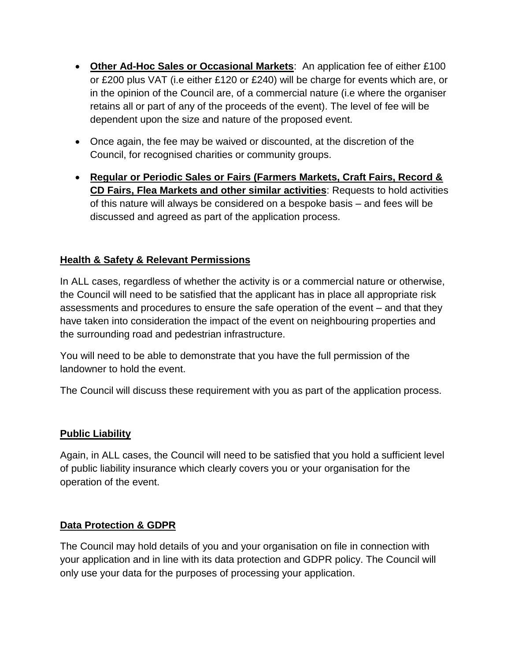- **Other Ad-Hoc Sales or Occasional Markets**: An application fee of either £100 or £200 plus VAT (i.e either £120 or £240) will be charge for events which are, or in the opinion of the Council are, of a commercial nature (i.e where the organiser retains all or part of any of the proceeds of the event). The level of fee will be dependent upon the size and nature of the proposed event.
- Once again, the fee may be waived or discounted, at the discretion of the Council, for recognised charities or community groups.
- **Regular or Periodic Sales or Fairs (Farmers Markets, Craft Fairs, Record & CD Fairs, Flea Markets and other similar activities**: Requests to hold activities of this nature will always be considered on a bespoke basis – and fees will be discussed and agreed as part of the application process.

# **Health & Safety & Relevant Permissions**

In ALL cases, regardless of whether the activity is or a commercial nature or otherwise, the Council will need to be satisfied that the applicant has in place all appropriate risk assessments and procedures to ensure the safe operation of the event – and that they have taken into consideration the impact of the event on neighbouring properties and the surrounding road and pedestrian infrastructure.

You will need to be able to demonstrate that you have the full permission of the landowner to hold the event.

The Council will discuss these requirement with you as part of the application process.

#### **Public Liability**

Again, in ALL cases, the Council will need to be satisfied that you hold a sufficient level of public liability insurance which clearly covers you or your organisation for the operation of the event.

#### **Data Protection & GDPR**

The Council may hold details of you and your organisation on file in connection with your application and in line with its data protection and GDPR policy. The Council will only use your data for the purposes of processing your application.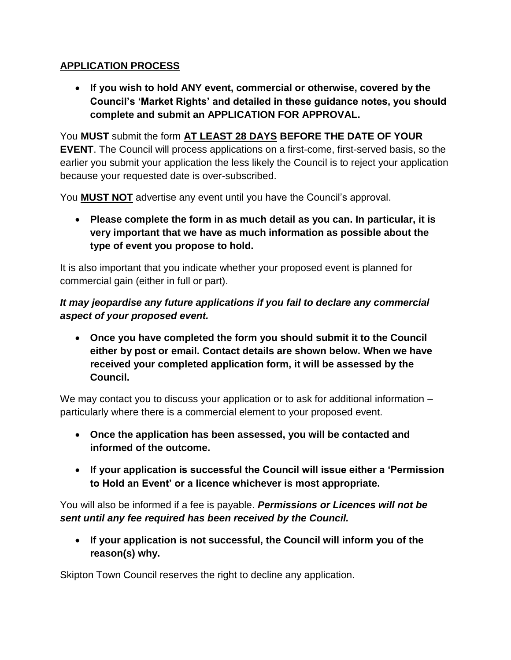# **APPLICATION PROCESS**

 **If you wish to hold ANY event, commercial or otherwise, covered by the Council's 'Market Rights' and detailed in these guidance notes, you should complete and submit an APPLICATION FOR APPROVAL.**

You **MUST** submit the form **AT LEAST 28 DAYS BEFORE THE DATE OF YOUR EVENT**. The Council will process applications on a first-come, first-served basis, so the earlier you submit your application the less likely the Council is to reject your application because your requested date is over-subscribed.

You **MUST NOT** advertise any event until you have the Council's approval.

 **Please complete the form in as much detail as you can. In particular, it is very important that we have as much information as possible about the type of event you propose to hold.**

It is also important that you indicate whether your proposed event is planned for commercial gain (either in full or part).

# *It may jeopardise any future applications if you fail to declare any commercial aspect of your proposed event.*

 **Once you have completed the form you should submit it to the Council either by post or email. Contact details are shown below. When we have received your completed application form, it will be assessed by the Council.**

We may contact you to discuss your application or to ask for additional information – particularly where there is a commercial element to your proposed event.

- **Once the application has been assessed, you will be contacted and informed of the outcome.**
- **If your application is successful the Council will issue either a 'Permission to Hold an Event' or a licence whichever is most appropriate.**

You will also be informed if a fee is payable. *Permissions or Licences will not be sent until any fee required has been received by the Council.*

 **If your application is not successful, the Council will inform you of the reason(s) why.**

Skipton Town Council reserves the right to decline any application.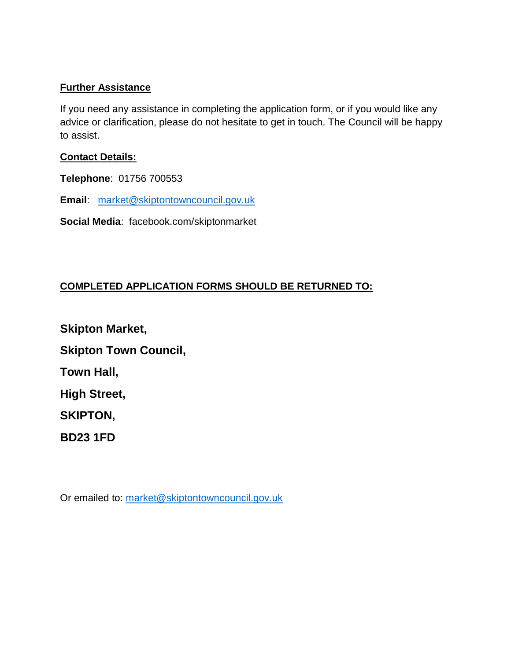#### **Further Assistance**

If you need any assistance in completing the application form, or if you would like any advice or clarification, please do not hesitate to get in touch. The Council will be happy to assist.

#### **Contact Details:**

**Telephone**: 01756 700553

**Email**: [market@skiptontowncouncil.gov.uk](mailto:market@skiptontowncouncil.gov.uk)

**Social Media**: facebook.com/skiptonmarket

## **COMPLETED APPLICATION FORMS SHOULD BE RETURNED TO:**

**Skipton Market, Skipton Town Council, Town Hall, High Street, SKIPTON, BD23 1FD**

Or emailed to: [market@skiptontowncouncil.gov.uk](mailto:market@skiptontowncouncil.gov.uk)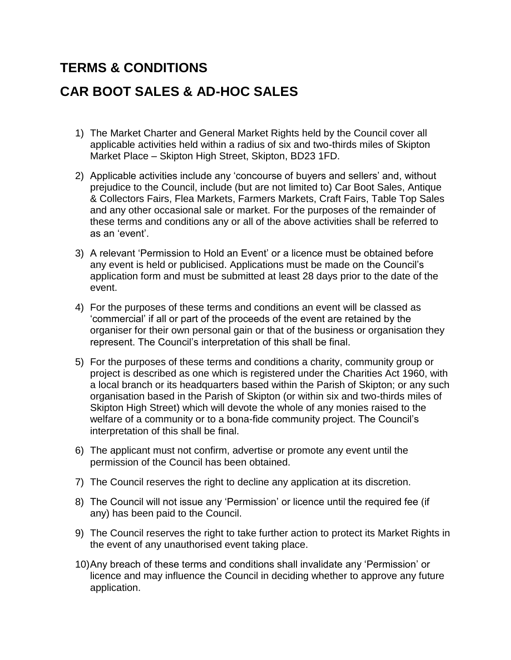# **TERMS & CONDITIONS**

# **CAR BOOT SALES & AD-HOC SALES**

- 1) The Market Charter and General Market Rights held by the Council cover all applicable activities held within a radius of six and two-thirds miles of Skipton Market Place – Skipton High Street, Skipton, BD23 1FD.
- 2) Applicable activities include any 'concourse of buyers and sellers' and, without prejudice to the Council, include (but are not limited to) Car Boot Sales, Antique & Collectors Fairs, Flea Markets, Farmers Markets, Craft Fairs, Table Top Sales and any other occasional sale or market. For the purposes of the remainder of these terms and conditions any or all of the above activities shall be referred to as an 'event'.
- 3) A relevant 'Permission to Hold an Event' or a licence must be obtained before any event is held or publicised. Applications must be made on the Council's application form and must be submitted at least 28 days prior to the date of the event.
- 4) For the purposes of these terms and conditions an event will be classed as 'commercial' if all or part of the proceeds of the event are retained by the organiser for their own personal gain or that of the business or organisation they represent. The Council's interpretation of this shall be final.
- 5) For the purposes of these terms and conditions a charity, community group or project is described as one which is registered under the Charities Act 1960, with a local branch or its headquarters based within the Parish of Skipton; or any such organisation based in the Parish of Skipton (or within six and two-thirds miles of Skipton High Street) which will devote the whole of any monies raised to the welfare of a community or to a bona-fide community project. The Council's interpretation of this shall be final.
- 6) The applicant must not confirm, advertise or promote any event until the permission of the Council has been obtained.
- 7) The Council reserves the right to decline any application at its discretion.
- 8) The Council will not issue any 'Permission' or licence until the required fee (if any) has been paid to the Council.
- 9) The Council reserves the right to take further action to protect its Market Rights in the event of any unauthorised event taking place.
- 10)Any breach of these terms and conditions shall invalidate any 'Permission' or licence and may influence the Council in deciding whether to approve any future application.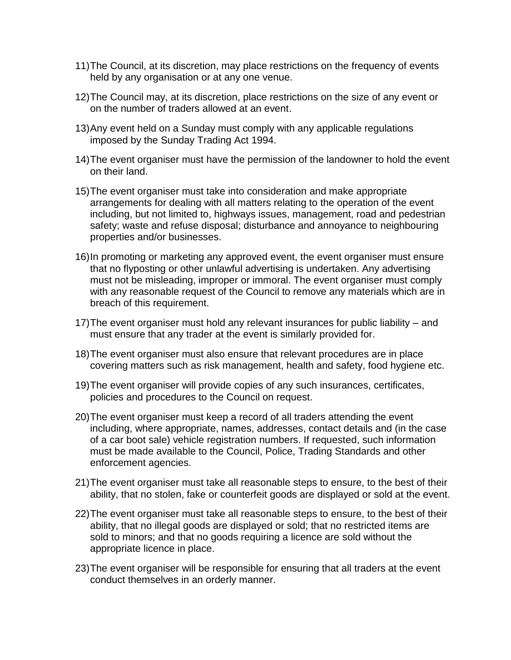- 11)The Council, at its discretion, may place restrictions on the frequency of events held by any organisation or at any one venue.
- 12)The Council may, at its discretion, place restrictions on the size of any event or on the number of traders allowed at an event.
- 13)Any event held on a Sunday must comply with any applicable regulations imposed by the Sunday Trading Act 1994.
- 14)The event organiser must have the permission of the landowner to hold the event on their land.
- 15)The event organiser must take into consideration and make appropriate arrangements for dealing with all matters relating to the operation of the event including, but not limited to, highways issues, management, road and pedestrian safety; waste and refuse disposal; disturbance and annoyance to neighbouring properties and/or businesses.
- 16)In promoting or marketing any approved event, the event organiser must ensure that no flyposting or other unlawful advertising is undertaken. Any advertising must not be misleading, improper or immoral. The event organiser must comply with any reasonable request of the Council to remove any materials which are in breach of this requirement.
- 17)The event organiser must hold any relevant insurances for public liability and must ensure that any trader at the event is similarly provided for.
- 18)The event organiser must also ensure that relevant procedures are in place covering matters such as risk management, health and safety, food hygiene etc.
- 19)The event organiser will provide copies of any such insurances, certificates, policies and procedures to the Council on request.
- 20)The event organiser must keep a record of all traders attending the event including, where appropriate, names, addresses, contact details and (in the case of a car boot sale) vehicle registration numbers. If requested, such information must be made available to the Council, Police, Trading Standards and other enforcement agencies.
- 21)The event organiser must take all reasonable steps to ensure, to the best of their ability, that no stolen, fake or counterfeit goods are displayed or sold at the event.
- 22)The event organiser must take all reasonable steps to ensure, to the best of their ability, that no illegal goods are displayed or sold; that no restricted items are sold to minors; and that no goods requiring a licence are sold without the appropriate licence in place.
- 23)The event organiser will be responsible for ensuring that all traders at the event conduct themselves in an orderly manner.